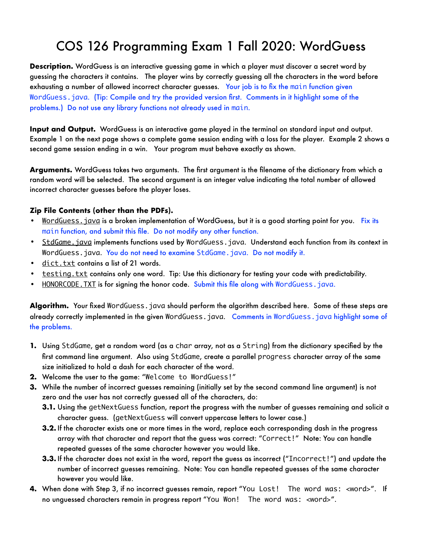## COS 126 Programming Exam 1 Fall 2020: WordGuess

**Description.** WordGuess is an interactive guessing game in which a player must discover a secret word by guessing the characters it contains. The player wins by correctly guessing all the characters in the word before exhausting a number of allowed incorrect character guesses. Your job is to fix the main function given WordGuess.java. (Tip: Compile and try the provided version first. Comments in it highlight some of the problems.) Do not use any library functions not already used in main.

**Input and Output.** WordGuess is an interactive game played in the terminal on standard input and output. Example 1 on the next page shows a complete game session ending with a loss for the player. Example 2 shows a second game session ending in a win. Your program must behave exactly as shown.

**Arguments.** WordGuess takes two arguments. The first argument is the filename of the dictionary from which a random word will be selected. The second argument is an integer value indicating the total number of allowed incorrect character guesses before the player loses.

## **Zip File Contents (other than the PDFs).**

- WordGuess. java is a broken implementation of WordGuess, but it is a good starting point for you. Fix its main function, and submit this file. Do not modify any other function.
- StdGame. java implements functions used by WordGuess. java. Understand each function from its context in WordGuess.java. You do not need to examine StdGame.java. Do not modify it.
- dict.txt contains a list of 21 words.
- testing.txt contains only one word. Tip: Use this dictionary for testing your code with predictability.
- HONORCODE. TXT is for signing the honor code. Submit this file along with WordGuess. java.

**Algorithm.** Your fixed WordGuess.java should perform the algorithm described here. Some of these steps are already correctly implemented in the given WordGuess.java. Comments in WordGuess.java highlight some of the problems.

- **1.** Using StdGame, get a random word (as a char array, not as a String) from the dictionary specified by the first command line argument. Also using StdGame, create a parallel progress character array of the same size initialized to hold a dash for each character of the word.
- **2.** Welcome the user to the game: "Welcome to WordGuess!"
- **3.** While the number of incorrect guesses remaining (initially set by the second command line argument) is not zero and the user has not correctly guessed all of the characters, do:
	- **3.1.** Using the getNextGuess function, report the progress with the number of guesses remaining and solicit a character guess. (getNextGuess will convert uppercase letters to lower case.)
	- **3.2.** If the character exists one or more times in the word, replace each corresponding dash in the progress array with that character and report that the guess was correct: "Correct!" Note: You can handle repeated guesses of the same character however you would like.
	- **3.3.** If the character does not exist in the word, report the guess as incorrect ("Incorrect!") and update the number of incorrect guesses remaining. Note: You can handle repeated guesses of the same character however you would like.
- **4.** When done with Step 3, if no incorrect guesses remain, report "You Lost! The word was: <word>". If no unguessed characters remain in progress report "You Won! The word was: <word>".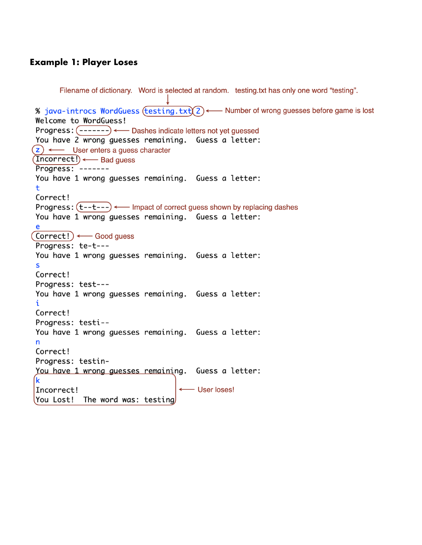## **Example 1: Player Loses**

```
Filename of dictionary. Word is selected at random. testing.txt has only one word "testing".
% java-introcs WordGuess (testing.txt) 2 \longleftarrow Number of wrong guesses before game is lost
Welcome to WordGuess!
Progress: (-------) ← Dashes indicate letters not yet guessed
You have 2 wrong guesses remaining. Guess a letter:
(z) \leftarrow User enters a guess character
(Incorrect!) \longleftarrow Bad quess
Progress: -------
You have 1 wrong guesses remaining. Guess a letter:
\ddot{}Correct!
Progress: (t--t---) \longleftarrow Impact of correct guess shown by replacing dashes
You have 1 wrong guesses remaining. Guess a letter:
e
\overline{\text{Correct}} : \longleftarrow Good guess
Progress: te-t---
You have 1 wrong guesses remaining. Guess a letter:
\mathbf SCorrect!
Progress: test---
You have 1 wrong quesses remaining. Guess a letter:
i
Correct!
Progress: testi--
You have 1 wrong guesses remaining. Guess a letter:
n
Correct!
Progress: testin-
You have 1 wrong guesses remaining. Guess a letter:
ĺk
Incorrect!
                                       ← User loses!
You Lost! The word was: testing
```